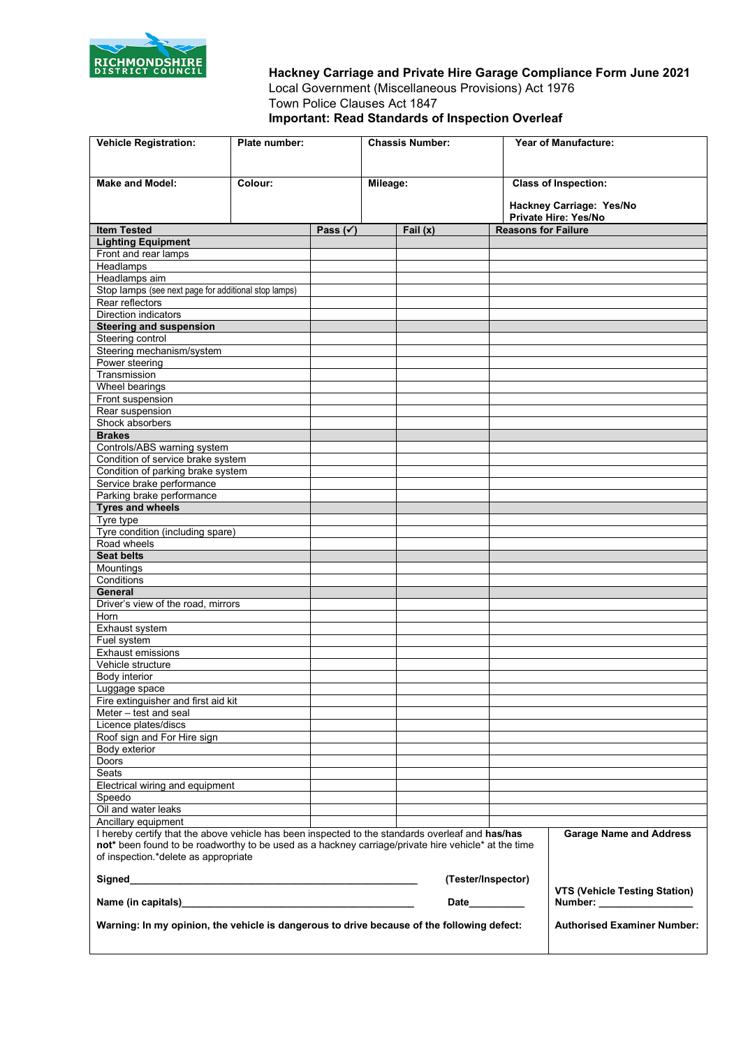

**Hackney Carriage and Private Hire Garage Compliance Form June 2021** Local Government (Miscellaneous Provisions) Act 1976 Town Police Clauses Act 1847 **Important: Read Standards of Inspection Overleaf**

| <b>Vehicle Registration:</b>                                                                                                                                                                            | Plate number: |                     | <b>Chassis Number:</b>            |  |                            | <b>Year of Manufacture:</b>                                        |
|---------------------------------------------------------------------------------------------------------------------------------------------------------------------------------------------------------|---------------|---------------------|-----------------------------------|--|----------------------------|--------------------------------------------------------------------|
| <b>Make and Model:</b>                                                                                                                                                                                  | Colour:       |                     |                                   |  |                            |                                                                    |
|                                                                                                                                                                                                         |               |                     | Mileage:                          |  |                            | <b>Class of Inspection:</b>                                        |
|                                                                                                                                                                                                         |               |                     |                                   |  |                            | Hackney Carriage: Yes/No<br>Private Hire: Yes/No                   |
| <b>Item Tested</b>                                                                                                                                                                                      |               | Pass $(\checkmark)$ | Fail $(x)$                        |  | <b>Reasons for Failure</b> |                                                                    |
| <b>Lighting Equipment</b>                                                                                                                                                                               |               |                     |                                   |  |                            |                                                                    |
| Front and rear lamps                                                                                                                                                                                    |               |                     |                                   |  |                            |                                                                    |
| Headlamps                                                                                                                                                                                               |               |                     |                                   |  |                            |                                                                    |
| Headlamps aim<br>Stop lamps (see next page for additional stop lamps)                                                                                                                                   |               |                     |                                   |  |                            |                                                                    |
| Rear reflectors                                                                                                                                                                                         |               |                     |                                   |  |                            |                                                                    |
| <b>Direction indicators</b>                                                                                                                                                                             |               |                     |                                   |  |                            |                                                                    |
| <b>Steering and suspension</b>                                                                                                                                                                          |               |                     |                                   |  |                            |                                                                    |
| Steering control                                                                                                                                                                                        |               |                     |                                   |  |                            |                                                                    |
| Steering mechanism/system                                                                                                                                                                               |               |                     |                                   |  |                            |                                                                    |
| Power steering                                                                                                                                                                                          |               |                     |                                   |  |                            |                                                                    |
| Transmission                                                                                                                                                                                            |               |                     |                                   |  |                            |                                                                    |
| Wheel bearings                                                                                                                                                                                          |               |                     |                                   |  |                            |                                                                    |
| Front suspension                                                                                                                                                                                        |               |                     |                                   |  |                            |                                                                    |
| Rear suspension<br>Shock absorbers                                                                                                                                                                      |               |                     |                                   |  |                            |                                                                    |
| <b>Brakes</b>                                                                                                                                                                                           |               |                     |                                   |  |                            |                                                                    |
| Controls/ABS warning system                                                                                                                                                                             |               |                     |                                   |  |                            |                                                                    |
| Condition of service brake system                                                                                                                                                                       |               |                     |                                   |  |                            |                                                                    |
| Condition of parking brake system                                                                                                                                                                       |               |                     |                                   |  |                            |                                                                    |
| Service brake performance                                                                                                                                                                               |               |                     |                                   |  |                            |                                                                    |
| Parking brake performance                                                                                                                                                                               |               |                     |                                   |  |                            |                                                                    |
| <b>Tyres and wheels</b>                                                                                                                                                                                 |               |                     |                                   |  |                            |                                                                    |
| Tyre type                                                                                                                                                                                               |               |                     |                                   |  |                            |                                                                    |
| Tyre condition (including spare)<br>Road wheels                                                                                                                                                         |               |                     |                                   |  |                            |                                                                    |
| <b>Seat belts</b>                                                                                                                                                                                       |               |                     |                                   |  |                            |                                                                    |
| Mountings                                                                                                                                                                                               |               |                     |                                   |  |                            |                                                                    |
| Conditions                                                                                                                                                                                              |               |                     |                                   |  |                            |                                                                    |
| <b>General</b>                                                                                                                                                                                          |               |                     |                                   |  |                            |                                                                    |
| Driver's view of the road, mirrors                                                                                                                                                                      |               |                     |                                   |  |                            |                                                                    |
| Horn                                                                                                                                                                                                    |               |                     |                                   |  |                            |                                                                    |
| Exhaust system                                                                                                                                                                                          |               |                     |                                   |  |                            |                                                                    |
| Fuel system                                                                                                                                                                                             |               |                     |                                   |  |                            |                                                                    |
| <b>Exhaust emissions</b><br>Vehicle structure                                                                                                                                                           |               |                     |                                   |  |                            |                                                                    |
| Body interior                                                                                                                                                                                           |               |                     |                                   |  |                            |                                                                    |
| Luggage space                                                                                                                                                                                           |               |                     |                                   |  |                            |                                                                    |
| Fire extinguisher and first aid kit                                                                                                                                                                     |               |                     |                                   |  |                            |                                                                    |
| Meter - test and seal                                                                                                                                                                                   |               |                     |                                   |  |                            |                                                                    |
| Licence plates/discs                                                                                                                                                                                    |               |                     |                                   |  |                            |                                                                    |
| Roof sign and For Hire sign                                                                                                                                                                             |               |                     |                                   |  |                            |                                                                    |
| Body exterior                                                                                                                                                                                           |               |                     |                                   |  |                            |                                                                    |
| Doors                                                                                                                                                                                                   |               |                     |                                   |  |                            |                                                                    |
| Seats<br>Electrical wiring and equipment                                                                                                                                                                |               |                     |                                   |  |                            |                                                                    |
| Speedo                                                                                                                                                                                                  |               |                     |                                   |  |                            |                                                                    |
| Oil and water leaks                                                                                                                                                                                     |               |                     |                                   |  |                            |                                                                    |
| Ancillary equipment                                                                                                                                                                                     |               |                     |                                   |  |                            |                                                                    |
| I hereby certify that the above vehicle has been inspected to the standards overleaf and has/has<br>not* been found to be roadworthy to be used as a hackney carriage/private hire vehicle* at the time |               |                     |                                   |  |                            | <b>Garage Name and Address</b>                                     |
| of inspection.*delete as appropriate                                                                                                                                                                    |               |                     |                                   |  |                            |                                                                    |
|                                                                                                                                                                                                         |               |                     | (Tester/Inspector)<br><b>Date</b> |  |                            | <b>VTS (Vehicle Testing Station)</b><br>Number: __________________ |
| Warning: In my opinion, the vehicle is dangerous to drive because of the following defect:                                                                                                              |               |                     |                                   |  |                            | <b>Authorised Examiner Number:</b>                                 |
|                                                                                                                                                                                                         |               |                     |                                   |  |                            |                                                                    |